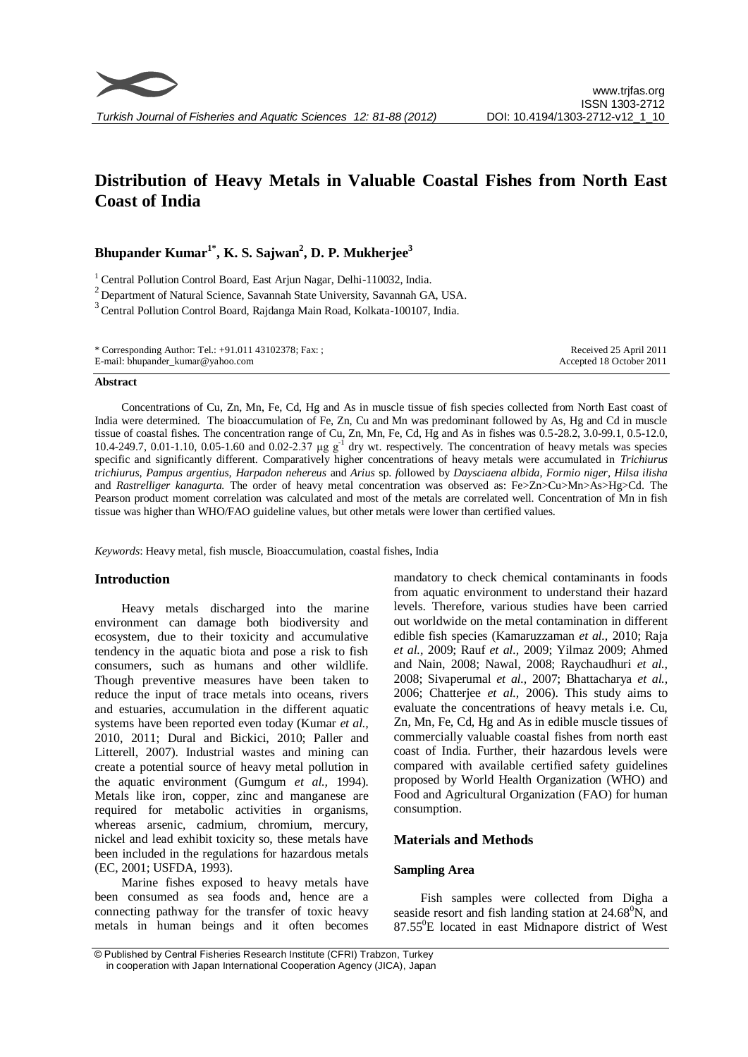# **Distribution of Heavy Metals in Valuable Coastal Fishes from North East Coast of India**

**Bhupander Kumar1\*, K. S. Sajwan<sup>2</sup> , D. P. Mukherjee<sup>3</sup>**

<sup>1</sup> Central Pollution Control Board, East Arjun Nagar, Delhi-110032, India.

 $2$  Department of Natural Science, Savannah State University, Savannah GA, USA.

<sup>3</sup> Central Pollution Control Board, Rajdanga Main Road, Kolkata-100107, India.

| * Corresponding Author: Tel.: +91.011 43102378; Fax: ; | Received 25 April 2011   |
|--------------------------------------------------------|--------------------------|
| E-mail: bhupander_kumar@yahoo.com                      | Accepted 18 October 2011 |

# **Abstract**

Concentrations of Cu, Zn, Mn, Fe, Cd, Hg and As in muscle tissue of fish species collected from North East coast of India were determined. The bioaccumulation of Fe, Zn, Cu and Mn was predominant followed by As, Hg and Cd in muscle tissue of coastal fishes. The concentration range of Cu, Zn, Mn, Fe, Cd, Hg and As in fishes was 0.5-28.2, 3.0-99.1, 0.5-12.0, 10.4-249.7, 0.01-1.10, 0.05-1.60 and 0.02-2.37  $\mu$ g g<sup>-1</sup> dry wt. respectively. The concentration of heavy metals was species specific and significantly different. Comparatively higher concentrations of heavy metals were accumulated in *Trichiurus trichiurus*, *Pampus argentius, Harpadon nehereus* and *Arius* sp. *f*ollowed by *Daysciaena albida, Formio niger, Hilsa ilisha*  and *Rastrelliger kanagurta.* The order of heavy metal concentration was observed as: Fe>Zn>Cu>Mn>As>Hg>Cd. The Pearson product moment correlation was calculated and most of the metals are correlated well. Concentration of Mn in fish tissue was higher than WHO/FAO guideline values, but other metals were lower than certified values.

*Keywords*: Heavy metal, fish muscle, Bioaccumulation, coastal fishes, India

# **Introduction**

Heavy metals discharged into the marine environment can damage both biodiversity and ecosystem, due to their toxicity and accumulative tendency in the aquatic biota and pose a risk to fish consumers, such as humans and other wildlife. Though preventive measures have been taken to reduce the input of trace metals into oceans, rivers and estuaries, accumulation in the different aquatic systems have been reported even today (Kumar *et al.,* 2010, 2011; Dural and Bickici, 2010; Paller and Litterell, 2007). Industrial wastes and mining can create a potential source of heavy metal pollution in the aquatic environment (Gumgum *et al.,* 1994). Metals like iron, copper, zinc and manganese are required for metabolic activities in organisms, whereas arsenic, cadmium, chromium, mercury, nickel and lead exhibit toxicity so, these metals have been included in the regulations for hazardous metals (EC, 2001; USFDA, 1993).

Marine fishes exposed to heavy metals have been consumed as sea foods and, hence are a connecting pathway for the transfer of toxic heavy metals in human beings and it often becomes

mandatory to check chemical contaminants in foods from aquatic environment to understand their hazard levels. Therefore, various studies have been carried out worldwide on the metal contamination in different edible fish species (Kamaruzzaman *et al.,* 2010; Raja *et al.,* 2009; Rauf *et al.,* 2009; Yilmaz 2009; Ahmed and Nain, 2008; Nawal, 2008; Raychaudhuri *et al.,* 2008; Sivaperumal *et al.,* 2007; Bhattacharya *et al.,* 2006; Chatterjee *et al.,* 2006). This study aims to evaluate the concentrations of heavy metals i.e. Cu, Zn, Mn, Fe, Cd, Hg and As in edible muscle tissues of commercially valuable coastal fishes from north east coast of India. Further, their hazardous levels were compared with available certified safety guidelines proposed by World Health Organization (WHO) and Food and Agricultural Organization (FAO) for human consumption.

# **Materials and Methods**

# **Sampling Area**

Fish samples were collected from Digha a seaside resort and fish landing station at  $24.68^{\circ}$ N, and 87.55<sup>0</sup>E located in east Midnapore district of West

<sup>©</sup> Published by Central Fisheries Research Institute (CFRI) Trabzon, Turkey in cooperation with Japan International Cooperation Agency (JICA), Japan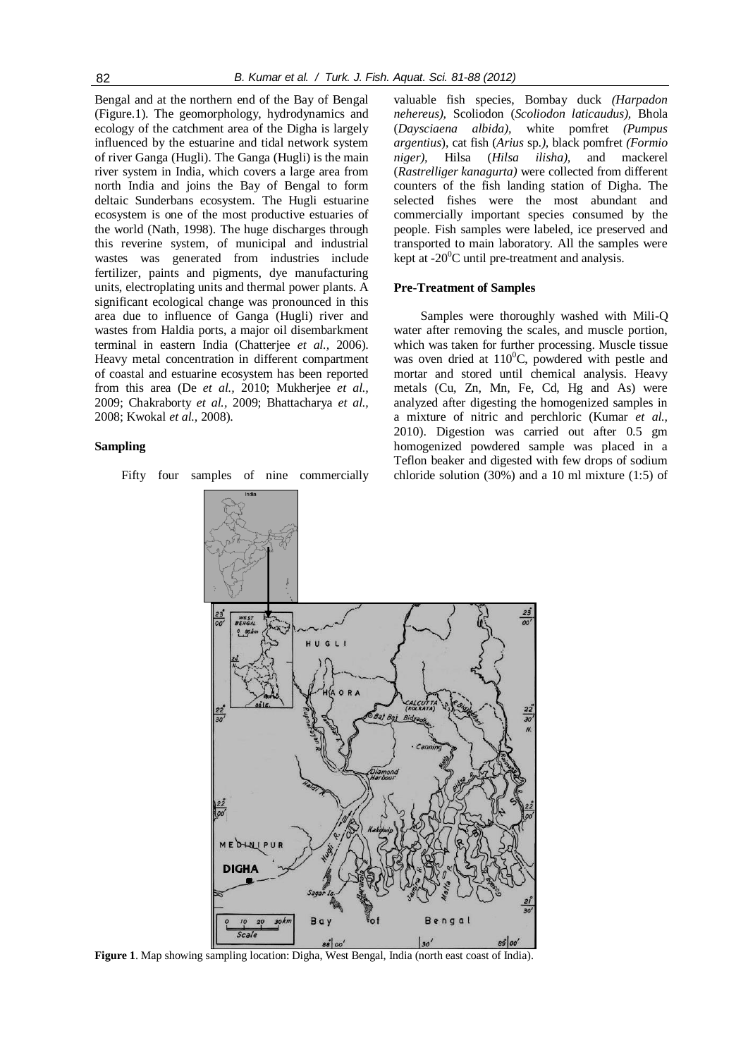Bengal and at the northern end of the Bay of Bengal (Figure.1). The geomorphology, hydrodynamics and ecology of the catchment area of the Digha is largely influenced by the estuarine and tidal network system of river Ganga (Hugli). The Ganga (Hugli) is the main river system in India, which covers a large area from north India and joins the Bay of Bengal to form deltaic Sunderbans ecosystem. The Hugli estuarine ecosystem is one of the most productive estuaries of the world (Nath, 1998). The huge discharges through this reverine system, of municipal and industrial wastes was generated from industries include fertilizer, paints and pigments, dye manufacturing units, electroplating units and thermal power plants. A significant ecological change was pronounced in this area due to influence of Ganga (Hugli) river and wastes from Haldia ports, a major oil disembarkment terminal in eastern India (Chatterjee *et al.,* 2006). Heavy metal concentration in different compartment of coastal and estuarine ecosystem has been reported from this area (De *et al.,* 2010; Mukherjee *et al.,* 2009; Chakraborty *et al.,* 2009; Bhattacharya *et al.,* 2008; Kwokal *et al.,* 2008).

## **Sampling**

Fifty four samples of nine commercially

valuable fish species, Bombay duck *(Harpadon nehereus),* Scoliodon (*Scoliodon laticaudus),* Bhola (*Daysciaena albida),* white pomfret *(Pumpus argentius*), cat fish (*Arius* sp.*),* black pomfret *(Formio niger),* Hilsa (*Hilsa ilisha),* and mackerel (*Rastrelliger kanagurta)* were collected from different counters of the fish landing station of Digha. The selected fishes were the most abundant and commercially important species consumed by the people. Fish samples were labeled, ice preserved and transported to main laboratory. All the samples were kept at  $-20^0$ C until pre-treatment and analysis.

#### **Pre-Treatment of Samples**

Samples were thoroughly washed with Mili-Q water after removing the scales, and muscle portion, which was taken for further processing. Muscle tissue was oven dried at  $110^0$ C, powdered with pestle and mortar and stored until chemical analysis. Heavy metals (Cu, Zn, Mn, Fe, Cd, Hg and As) were analyzed after digesting the homogenized samples in a mixture of nitric and perchloric (Kumar *et al.,* 2010). Digestion was carried out after 0.5 gm homogenized powdered sample was placed in a Teflon beaker and digested with few drops of sodium chloride solution (30%) and a 10 ml mixture (1:5) of



**Figure 1**. Map showing sampling location: Digha, West Bengal, India (north east coast of India).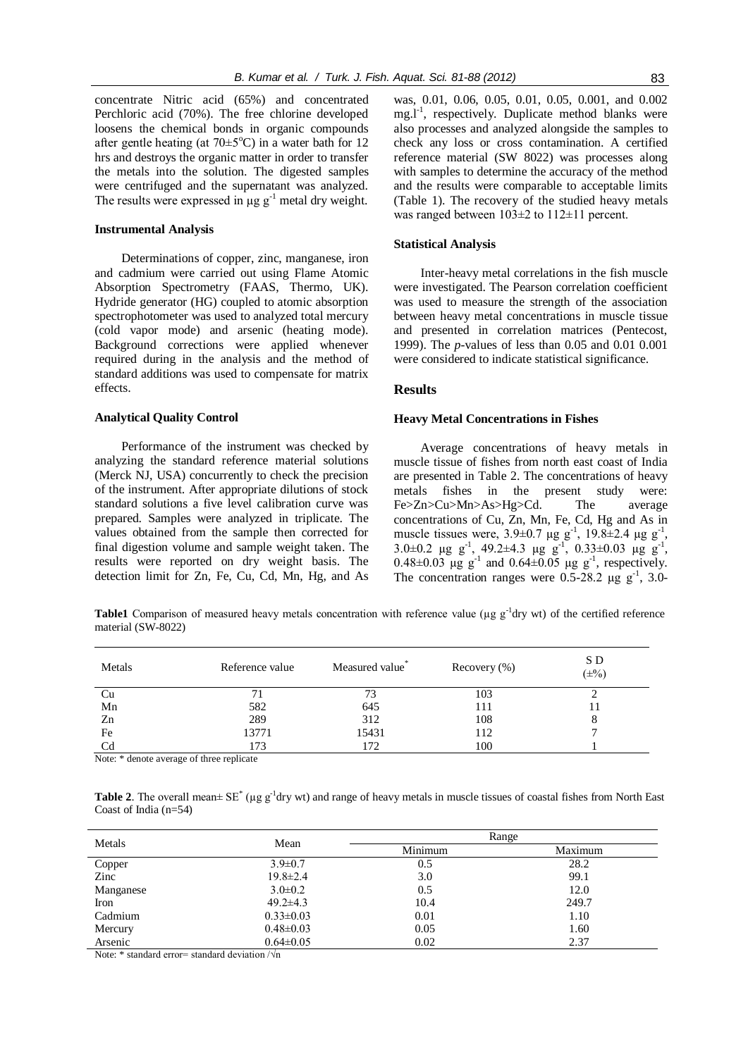concentrate Nitric acid (65%) and concentrated Perchloric acid (70%). The free chlorine developed loosens the chemical bonds in organic compounds after gentle heating (at  $70\pm5\degree C$ ) in a water bath for 12 hrs and destroys the organic matter in order to transfer the metals into the solution. The digested samples were centrifuged and the supernatant was analyzed. The results were expressed in  $\mu$ g g<sup>-1</sup> metal dry weight.

#### **Instrumental Analysis**

Determinations of copper, zinc, manganese, iron and cadmium were carried out using Flame Atomic Absorption Spectrometry (FAAS, Thermo, UK). Hydride generator (HG) coupled to atomic absorption spectrophotometer was used to analyzed total mercury (cold vapor mode) and arsenic (heating mode). Background corrections were applied whenever required during in the analysis and the method of standard additions was used to compensate for matrix effects.

## **Analytical Quality Control**

Performance of the instrument was checked by analyzing the standard reference material solutions (Merck NJ, USA) concurrently to check the precision of the instrument. After appropriate dilutions of stock standard solutions a five level calibration curve was prepared. Samples were analyzed in triplicate. The values obtained from the sample then corrected for final digestion volume and sample weight taken. The results were reported on dry weight basis. The detection limit for Zn, Fe, Cu, Cd, Mn, Hg, and As

was, 0.01, 0.06, 0.05, 0.01, 0.05, 0.001, and 0.002 mg.1<sup>-1</sup>, respectively. Duplicate method blanks were also processes and analyzed alongside the samples to check any loss or cross contamination. A certified reference material (SW 8022) was processes along with samples to determine the accuracy of the method and the results were comparable to acceptable limits (Table 1). The recovery of the studied heavy metals was ranged between 103±2 to 112±11 percent.

#### **Statistical Analysis**

Inter-heavy metal correlations in the fish muscle were investigated. The Pearson correlation coefficient was used to measure the strength of the association between heavy metal concentrations in muscle tissue and presented in correlation matrices (Pentecost, 1999). The *p*-values of less than 0.05 and 0.01 0.001 were considered to indicate statistical significance.

#### **Results**

#### **Heavy Metal Concentrations in Fishes**

Average concentrations of heavy metals in muscle tissue of fishes from north east coast of India are presented in Table 2. The concentrations of heavy metals fishes in the present study were: Fe>Zn>Cu>Mn>As>Hg>Cd. The average concentrations of Cu, Zn, Mn, Fe, Cd, Hg and As in muscle tissues were,  $3.9 \pm 0.7$  µg g<sup>-1</sup>,  $19.8 \pm 2.4$  µg g<sup>-1</sup>, 3.0 $\pm$ 0.2 µg g<sup>-1</sup>, 49.2 $\pm$ 4.3 µg g<sup>-1</sup>, 0.33 $\pm$ 0.03 µg g<sup>-1</sup>, 0.48 $\pm$ 0.03 µg g<sup>-1</sup> and 0.64 $\pm$ 0.05 µg g<sup>-1</sup>, respectively. The concentration ranges were  $0.5\n-28.2 \mu g g^{-1}$ , 3.0-

**Table1** Comparison of measured heavy metals concentration with reference value ( $\mu$ g  $g^{-1}$ dry wt) of the certified reference material (SW-8022)

| Metals | Reference value | Measured value* | Recovery $(\% )$ | S D<br>$(\pm\%)$ |
|--------|-----------------|-----------------|------------------|------------------|
| Cu     |                 | 73              | 103              |                  |
| Mn     | 582             | 645             | 111              |                  |
| Zn     | 289             | 312             | 108              |                  |
| Fe     | 13771           | 15431           | 112              |                  |
| Cd     | 173             |                 | 100              |                  |

Note: \* denote average of three replicate

**Table 2.** The overall mean $\pm$  SE<sup>\*</sup> ( $\mu$ g g<sup>-1</sup>dry wt) and range of heavy metals in muscle tissues of coastal fishes from North East Coast of India (n=54)

| Metals    | Mean            | Range   |         |  |  |
|-----------|-----------------|---------|---------|--|--|
|           |                 | Minimum | Maximum |  |  |
| Copper    | $3.9 \pm 0.7$   | 0.5     | 28.2    |  |  |
| Zinc      | $19.8 \pm 2.4$  | 3.0     | 99.1    |  |  |
| Manganese | $3.0 \pm 0.2$   | 0.5     | 12.0    |  |  |
| Iron      | $49.2 \pm 4.3$  | 10.4    | 249.7   |  |  |
| Cadmium   | $0.33 \pm 0.03$ | 0.01    | 1.10    |  |  |
| Mercury   | $0.48 \pm 0.03$ | 0.05    | 1.60    |  |  |
| Arsenic   | $0.64 \pm 0.05$ | 0.02    | 2.37    |  |  |

Note: \* standard error= standard deviation  $/\sqrt{n}$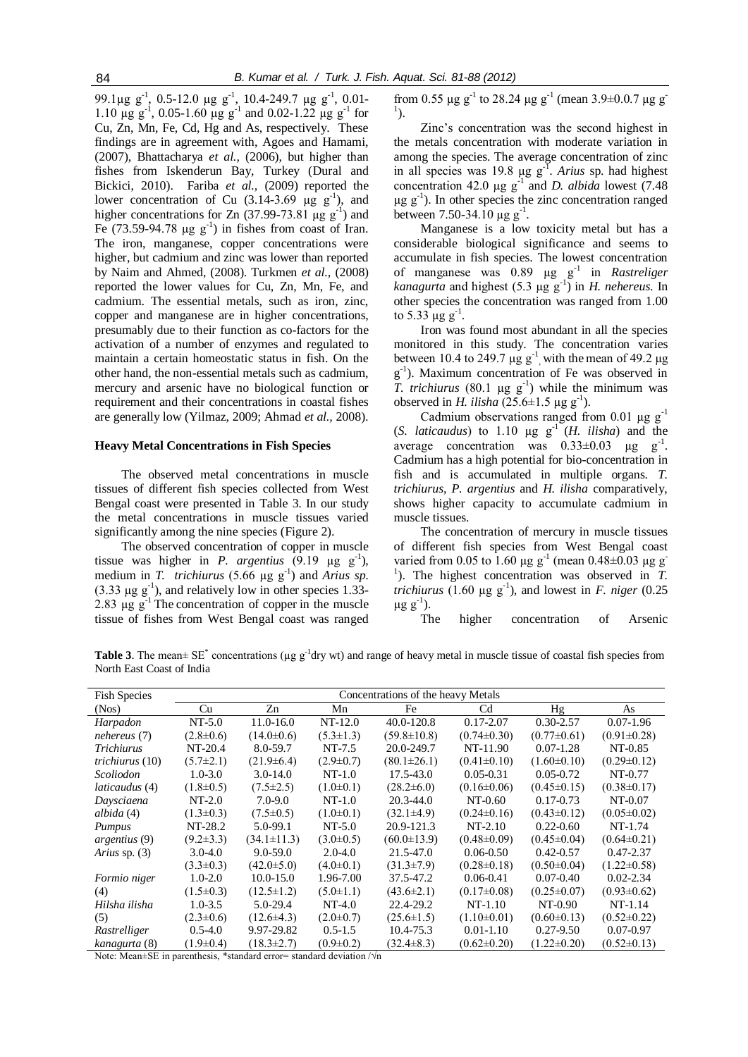99.1 $\mu$ g g<sup>-1</sup>, 0.5-12.0  $\mu$ g g<sup>-1</sup>, 10.4-249.7  $\mu$ g g<sup>-1</sup>, 0.01-1.10  $\mu$ g g<sup>-1</sup>, 0.05-1.60  $\mu$ g g<sup>-1</sup> and 0.02-1.22  $\mu$ g g<sup>-1</sup> for Cu, Zn, Mn, Fe, Cd, Hg and As, respectively. These findings are in agreement with, Agoes and Hamami, (2007), Bhattacharya *et al.,* (2006), but higher than fishes from Iskenderun Bay, Turkey (Dural and Bickici, 2010). Fariba *et al.,* (2009) reported the lower concentration of Cu  $(3.14-3.69 \text{ µg g}^{-1})$ , and higher concentrations for Zn  $(37.99-73.81 \mu g g^{-1})$  and Fe  $(73.59-94.78 \text{ µg g}^{-1})$  in fishes from coast of Iran. The iron, manganese, copper concentrations were higher, but cadmium and zinc was lower than reported by Naim and Ahmed, (2008). Turkmen *et al.,* (2008) reported the lower values for Cu, Zn, Mn, Fe, and cadmium. The essential metals, such as iron, zinc, copper and manganese are in higher concentrations, presumably due to their function as co-factors for the activation of a number of enzymes and regulated to maintain a certain homeostatic status in fish. On the other hand, the non-essential metals such as cadmium, mercury and arsenic have no biological function or requirement and their concentrations in coastal fishes are generally low (Yilmaz, 2009; Ahmad *et al.,* 2008).

# **Heavy Metal Concentrations in Fish Species**

The observed metal concentrations in muscle tissues of different fish species collected from West Bengal coast were presented in Table 3. In our study the metal concentrations in muscle tissues varied significantly among the nine species (Figure 2).

The observed concentration of copper in muscle tissue was higher in *P. argentius*  $(9.19 \text{ µg g}^{-1})$ , medium in *T. trichiurus*  $(5.66 \text{ µg g}^{-1})$  and *Arius sp.*  $(3.33 \mu g g^{-1})$ , and relatively low in other species 1.33-2.83  $\mu$ g g<sup>-1</sup> The concentration of copper in the muscle tissue of fishes from West Bengal coast was ranged

from 0.55  $\mu$ g g<sup>-1</sup> to 28.24  $\mu$ g g<sup>-1</sup> (mean 3.9±0.0.7  $\mu$ g g<sup>-1</sup>  $^{1}$ ).

Zinc's concentration was the second highest in the metals concentration with moderate variation in among the species. The average concentration of zinc in all species was 19.8 µg g-1 . *Arius* sp. had highest concentration 42.0  $\mu$ g g<sup>-1</sup> and *D. albida* lowest (7.48)  $\mu$ g g<sup>-1</sup>). In other species the zinc concentration ranged between 7.50-34.10  $\mu$ g g<sup>-1</sup>.

Manganese is a low toxicity metal but has a considerable biological significance and seems to accumulate in fish species. The lowest concentration of manganese was 0.89 µg g-1 in *Rastreliger*   $kanagurta$  and highest (5.3 µg  $g^{-1}$ ) in *H. nehereus*. In other species the concentration was ranged from 1.00 to 5.33  $\mu$ g g<sup>-1</sup> .

Iron was found most abundant in all the species monitored in this study. The concentration varies between 10.4 to 249.7  $\mu$ g g<sup>-1</sup>, with the mean of 49.2  $\mu$ g g<sup>-1</sup>). Maximum concentration of Fe was observed in *T. trichiurus* (80.1  $\mu$ g g<sup>-1</sup>) while the minimum was observed in *H. ilisha*  $(25.6 \pm 1.5 \text{ µg g}^{-1})$ .

Cadmium observations ranged from 0.01  $\mu$ g g<sup>-1</sup> (*S. laticaudus*) to 1.10  $\mu$ g  $g^{-1}(H.$  *ilisha*) and the average concentration was  $0.33\pm0.03$   $\mu$ g g<sup>-1</sup>. Cadmium has a high potential for bio-concentration in fish and is accumulated in multiple organs. *T. trichiurus, P. argentius* and *H. ilisha* comparatively, shows higher capacity to accumulate cadmium in muscle tissues.

The concentration of mercury in muscle tissues of different fish species from West Bengal coast varied from 0.05 to 1.60  $\mu$ g g<sup>-1</sup> (mean 0.48±0.03  $\mu$ g g<sup>-1</sup> <sup>1</sup>). The highest concentration was observed in *T*. *trichiurus* (1.60  $\mu$ g g<sup>-1</sup>), and lowest in *F. niger* (0.25)  $\mu$ g g<sup>-1</sup>).

The higher concentration of Arsenic

**Table 3**. The mean $\pm$  SE<sup>\*</sup> concentrations ( $\mu$ g g<sup>-1</sup>dry wt) and range of heavy metal in muscle tissue of coastal fish species from North East Coast of India

| <b>Fish Species</b>    | Concentrations of the heavy Metals |                   |                 |                   |                   |                   |                   |  |
|------------------------|------------------------------------|-------------------|-----------------|-------------------|-------------------|-------------------|-------------------|--|
| (Nos)                  | Cu                                 | Zn                | Mn              | Fe                | C <sub>d</sub>    | Hg                | As                |  |
| Harpadon               | $NT-5.0$                           | $11.0 - 16.0$     | $NT-12.0$       | 40.0-120.8        | $0.17 - 2.07$     | $0.30 - 2.57$     | $0.07 - 1.96$     |  |
| nehereus (7)           | $(2.8 \pm 0.6)$                    | $(14.0 \pm 0.6)$  | $(5.3 \pm 1.3)$ | $(59.8 \pm 10.8)$ | $(0.74 \pm 0.30)$ | $(0.77 \pm 0.61)$ | $(0.91 \pm 0.28)$ |  |
| <b>Trichiurus</b>      | NT-20.4                            | 8.0-59.7          | NT-7.5          | 20.0-249.7        | NT-11.90          | $0.07 - 1.28$     | NT-0.85           |  |
| <i>trichiurus</i> (10) | $(5.7\pm2.1)$                      | $(21.9 \pm 6.4)$  | $(2.9 \pm 0.7)$ | $(80.1 \pm 26.1)$ | $(0.41 \pm 0.10)$ | $(1.60 \pm 0.10)$ | $(0.29 \pm 0.12)$ |  |
| Scoliodon              | $1.0 - 3.0$                        | $3.0 - 14.0$      | $NT-1.0$        | $17.5 - 43.0$     | $0.05 - 0.31$     | $0.05 - 0.72$     | NT-0.77           |  |
| <i>laticaudus</i> (4)  | $(1.8 \pm 0.5)$                    | $(7.5 \pm 2.5)$   | $(1.0\pm 0.1)$  | $(28.2 \pm 6.0)$  | $(0.16 \pm 0.06)$ | $(0.45 \pm 0.15)$ | $(0.38 \pm 0.17)$ |  |
| Daysciaena             | $NT-2.0$                           | $7.0 - 9.0$       | $NT-1.0$        | $20.3 - 44.0$     | $NT-0.60$         | $0.17 - 0.73$     | NT-0.07           |  |
| albida (4)             | $(1.3\pm0.3)$                      | $(7.5 \pm 0.5)$   | $(1.0\pm 0.1)$  | $(32.1 \pm 4.9)$  | $(0.24 \pm 0.16)$ | $(0.43 \pm 0.12)$ | $(0.05 \pm 0.02)$ |  |
| Pumpus                 | NT-28.2                            | 5.0-99.1          | $NT-5.0$        | 20.9-121.3        | $NT-2.10$         | $0.22 - 0.60$     | NT-1.74           |  |
| <i>argentius</i> (9)   | $(9.2 \pm 3.3)$                    | $(34.1 \pm 11.3)$ | $(3.0 \pm 0.5)$ | $(60.0 \pm 13.9)$ | $(0.48 \pm 0.09)$ | $(0.45 \pm 0.04)$ | $(0.64 \pm 0.21)$ |  |
| Arius sp. $(3)$        | $3.0 - 4.0$                        | $9.0 - 59.0$      | $2.0 - 4.0$     | 21.5-47.0         | $0.06 - 0.50$     | $0.42 - 0.57$     | $0.47 - 2.37$     |  |
|                        | $(3.3 \pm 0.3)$                    | $(42.0 \pm 5.0)$  | $(4.0\pm0.1)$   | $(31.3 \pm 7.9)$  | $(0.28 \pm 0.18)$ | $(0.50 \pm 0.04)$ | $(1.22 \pm 0.58)$ |  |
| Formio niger           | $1.0 - 2.0$                        | $10.0 - 15.0$     | 1.96-7.00       | 37.5-47.2         | $0.06 - 0.41$     | $0.07 - 0.40$     | $0.02 - 2.34$     |  |
| (4)                    | $(1.5\pm0.3)$                      | $(12.5 \pm 1.2)$  | $(5.0 \pm 1.1)$ | $(43.6 \pm 2.1)$  | $(0.17 \pm 0.08)$ | $(0.25 \pm 0.07)$ | $(0.93 \pm 0.62)$ |  |
| Hilsha ilisha          | $1.0 - 3.5$                        | 5.0-29.4          | $NT-4.0$        | 22.4-29.2         | $NT-1.10$         | NT-0.90           | NT-1.14           |  |
| (5)                    | $(2.3 \pm 0.6)$                    | $(12.6\pm4.3)$    | $(2.0 \pm 0.7)$ | $(25.6 \pm 1.5)$  | $(1.10\pm0.01)$   | $(0.60 \pm 0.13)$ | $(0.52 \pm 0.22)$ |  |
| Rastrelliger           | $0.5 - 4.0$                        | 9.97-29.82        | $0.5 - 1.5$     | 10.4-75.3         | $0.01 - 1.10$     | $0.27 - 9.50$     | $0.07 - 0.97$     |  |
| kanagurta (8)          | $(1.9 \pm 0.4)$                    | $(18.3 \pm 2.7)$  | $(0.9 \pm 0.2)$ | $(32.4 \pm 8.3)$  | $(0.62 \pm 0.20)$ | $(1.22 \pm 0.20)$ | $(0.52 \pm 0.13)$ |  |

Note: Mean $\pm$ SE in parenthesis, \*standard error= standard deviation / $\sqrt{n}$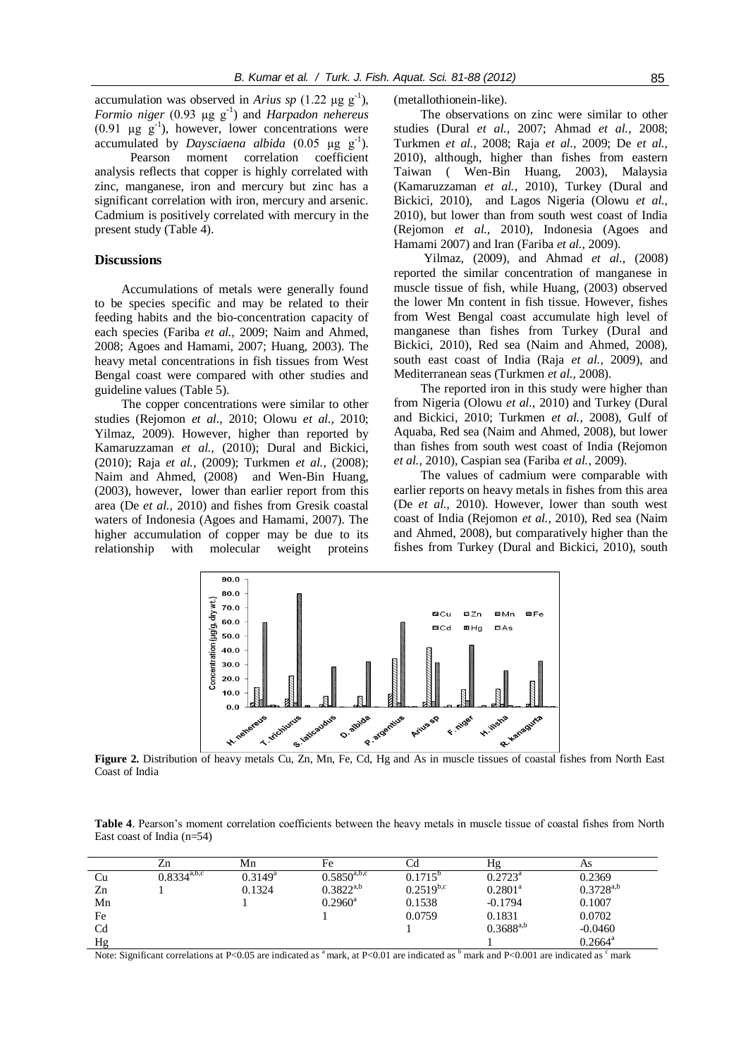accumulation was observed in *Arius sp* (1.22  $\mu$ g g<sup>-1</sup>), *Formio niger* (0.93 µg g-1 ) and *Harpadon nehereus*  $(0.91 \text{ µg g}^{-1})$ , however, lower concentrations were accumulated by *Daysciaena albida* (0.05  $\mu$ g g<sup>-1</sup>).

Pearson moment correlation coefficient analysis reflects that copper is highly correlated with zinc, manganese, iron and mercury but zinc has a significant correlation with iron, mercury and arsenic. Cadmium is positively correlated with mercury in the present study (Table 4).

#### **Discussions**

Accumulations of metals were generally found to be species specific and may be related to their feeding habits and the bio-concentration capacity of each species (Fariba *et al.,* 2009; Naim and Ahmed, 2008; Agoes and Hamami, 2007; Huang, 2003). The heavy metal concentrations in fish tissues from West Bengal coast were compared with other studies and guideline values (Table 5).

The copper concentrations were similar to other studies (Rejomon *et al.,* 2010; Olowu *et al.,* 2010; Yilmaz, 2009). However, higher than reported by Kamaruzzaman *et al.,* (2010); Dural and Bickici, (2010); Raja *et al.,* (2009); Turkmen *et al.,* (2008); Naim and Ahmed, (2008) and Wen-Bin Huang, (2003), however, lower than earlier report from this area (De *et al.,* 2010) and fishes from Gresik coastal waters of Indonesia (Agoes and Hamami, 2007). The higher accumulation of copper may be due to its relationship with molecular weight proteins (metallothionein-like).

The observations on zinc were similar to other studies (Dural *et al.,* 2007; Ahmad *et al.,* 2008; Turkmen *et al.,* 2008; Raja *et al.,* 2009; De *et al.,* 2010), although, higher than fishes from eastern Taiwan ( Wen-Bin Huang, 2003), Malaysia (Kamaruzzaman *et al.*, 2010), Turkey (Dural and Bickici, 2010), and Lagos Nigeria (Olowu *et al.,* 2010), but lower than from south west coast of India (Rejomon *et al.,* 2010), Indonesia (Agoes and Hamami 2007) and Iran (Fariba *et al.,* 2009).

Yilmaz, (2009), and Ahmad *et al.,* (2008) reported the similar concentration of manganese in muscle tissue of fish, while Huang, (2003) observed the lower Mn content in fish tissue. However, fishes from West Bengal coast accumulate high level of manganese than fishes from Turkey (Dural and Bickici, 2010), Red sea (Naim and Ahmed, 2008), south east coast of India (Raja *et al.,* 2009), and Mediterranean seas (Turkmen *et al.,* 2008).

The reported iron in this study were higher than from Nigeria (Olowu *et al.,* 2010) and Turkey (Dural and Bickici, 2010; Turkmen *et al.,* 2008), Gulf of Aquaba, Red sea (Naim and Ahmed, 2008), but lower than fishes from south west coast of India (Rejomon *et al.,* 2010), Caspian sea (Fariba *et al.,* 2009).

The values of cadmium were comparable with earlier reports on heavy metals in fishes from this area (De *et al.,* 2010). However, lower than south west coast of India (Rejomon *et al.,* 2010), Red sea (Naim and Ahmed, 2008), but comparatively higher than the fishes from Turkey (Dural and Bickici, 2010), south



Coast of India

**Table 4**. Pearson's moment correlation coefficients between the heavy metals in muscle tissue of coastal fishes from North East coast of India (n=54)

|                | Zn                                    | Mn               | Fe               |                | Hg               | As                  |
|----------------|---------------------------------------|------------------|------------------|----------------|------------------|---------------------|
| Cu             | $0.8334^{\text{a},\text{b},\text{c}}$ | $0.3149^{\rm a}$ | $0.5850^{a,b,c}$ | $0.1715^{b}$   | $0.2723^{\rm a}$ | 0.2369              |
| Zn             |                                       | 0.1324           | $0.3822^{a,b}$   | $0.2519^{b,c}$ | $0.2801^a$       | $0.3728^{a,b}$      |
| Mn             |                                       |                  | $0.2960^{\rm a}$ | 0.1538         | $-0.1794$        | 0.1007              |
| Fe             |                                       |                  |                  | 0.0759         | 0.1831           | 0.0702              |
| C <sub>d</sub> |                                       |                  |                  |                | $0.3688^{a,b}$   | $-0.0460$           |
| Hg             |                                       |                  |                  |                |                  | $0.2664^{\text{a}}$ |

Note: Significant correlations at P<0.05 are indicated as  $^{\text{a}}$  mark, at P<0.01 are indicated as  $^{\text{b}}$  mark and P<0.001 are indicated as  $^{\text{c}}$  mark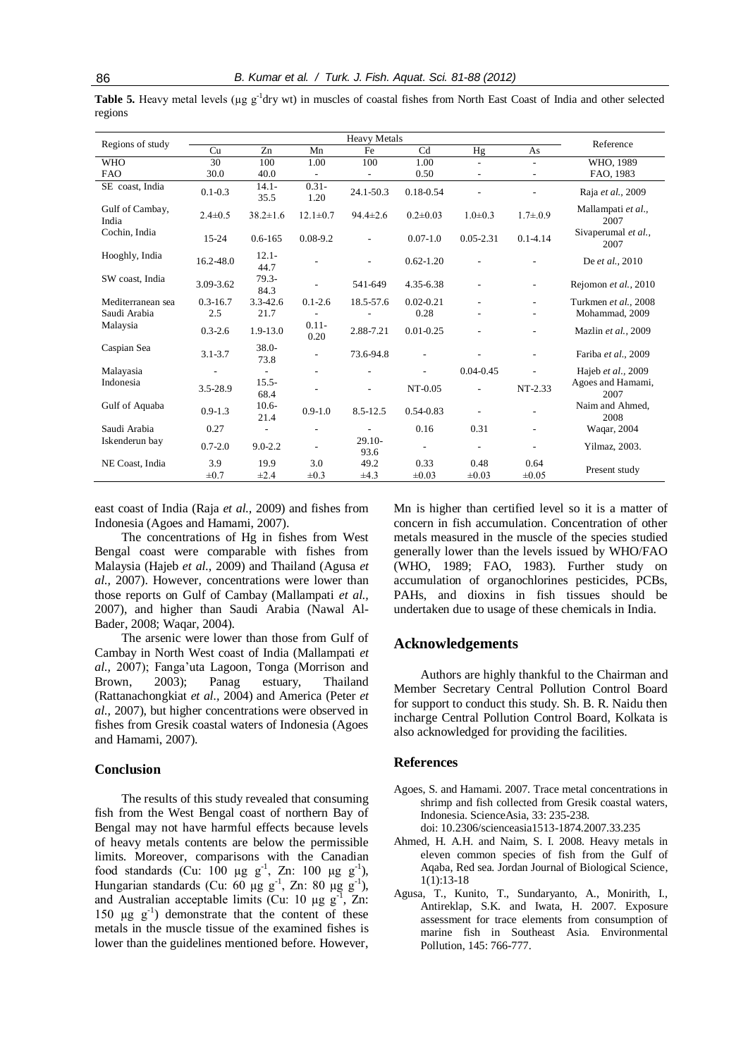Table 5. Heavy metal levels ( $\mu$ g g<sup>-1</sup>dry wt) in muscles of coastal fishes from North East Coast of India and other selected regions

|                          | <b>Heavy Metals</b> |                          |                          |                          |                          |                          |                          | Reference                   |
|--------------------------|---------------------|--------------------------|--------------------------|--------------------------|--------------------------|--------------------------|--------------------------|-----------------------------|
| Regions of study         | Cu                  | Zn                       | Mn                       | Fe                       | Cd                       | Hg                       | As                       |                             |
| <b>WHO</b>               | 30                  | 100                      | 1.00                     | 100                      | 1.00                     | $\overline{a}$           | $\overline{\phantom{a}}$ | WHO, 1989                   |
| <b>FAO</b>               | 30.0                | 40.0                     | $\overline{a}$           | $\sim$                   | 0.50                     | $\overline{\phantom{a}}$ | $\overline{\phantom{a}}$ | FAO, 1983                   |
| SE coast, India          | $0.1 - 0.3$         | $14.1 -$<br>35.5         | $0.31 -$<br>1.20         | 24.1-50.3                | $0.18 - 0.54$            | ٠                        |                          | Raja et al., 2009           |
| Gulf of Cambay,<br>India | $2.4 \pm 0.5$       | $38.2 \pm 1.6$           | $12.1 \pm 0.7$           | $94.4 \pm 2.6$           | $0.2 \pm 0.03$           | $1.0 \pm 0.3$            | $1.7\pm.0.9$             | Mallampati et al.,<br>2007  |
| Cochin, India            | $15 - 24$           | $0.6 - 165$              | $0.08 - 9.2$             |                          | $0.07 - 1.0$             | $0.05 - 2.31$            | $0.1 - 4.14$             | Sivaperumal et al.,<br>2007 |
| Hooghly, India           | 16.2-48.0           | $12.1 -$<br>44.7         |                          |                          | $0.62 - 1.20$            |                          |                          | De et al., 2010             |
| SW coast, India          | 3.09-3.62           | $79.3 -$<br>84.3         |                          | 541-649                  | 4.35-6.38                | $\overline{\phantom{a}}$ | $\overline{a}$           | Rejomon et al., 2010        |
| Mediterranean sea        | $0.3 - 16.7$        | 3.3-42.6                 | $0.1 - 2.6$              | 18.5-57.6                | $0.02 - 0.21$            |                          | $\overline{a}$           | Turkmen et al., 2008        |
| Saudi Arabia             | 2.5                 | 21.7                     |                          |                          | 0.28                     |                          |                          | Mohammad, 2009              |
| Malaysia                 | $0.3 - 2.6$         | $1.9 - 13.0$             | $0.11 -$<br>0.20         | 2.88-7.21                | $0.01 - 0.25$            |                          | $\overline{\phantom{a}}$ | Mazlin et al., 2009         |
| Caspian Sea              | $3.1 - 3.7$         | $38.0 -$<br>73.8         | ÷,                       | 73.6-94.8                | L,                       |                          | $\overline{\phantom{a}}$ | Fariba et al., 2009         |
| Malayasia                |                     | $\overline{\phantom{a}}$ | $\overline{\phantom{0}}$ |                          | ÷,                       | $0.04 - 0.45$            |                          | Hajeb et al., 2009          |
| Indonesia                | 3.5-28.9            | $15.5 -$<br>68.4         | ۰                        |                          | $NT-0.05$                |                          | NT-2.33                  | Agoes and Hamami,<br>2007   |
| Gulf of Aquaba           | $0.9 - 1.3$         | $10.6 -$<br>21.4         | $0.9 - 1.0$              | $8.5 - 12.5$             | 0.54-0.83                |                          |                          | Naim and Ahmed,<br>2008     |
| Saudi Arabia             | 0.27                | $\overline{\phantom{a}}$ | ۰                        | $\overline{\phantom{a}}$ | 0.16                     | 0.31                     |                          | Waqar, 2004                 |
| Iskenderun bay           | $0.7 - 2.0$         | $9.0 - 2.2$              | $\overline{\phantom{0}}$ | $29.10-$<br>93.6         | $\overline{\phantom{a}}$ |                          | $\overline{\phantom{a}}$ | Yilmaz, 2003.               |
| NE Coast, India          | 3.9                 | 19.9                     | 3.0                      | 49.2                     | 0.33                     | 0.48                     | 0.64                     |                             |
|                          | $\pm 0.7$           | $\pm 2.4$                | $\pm 0.3$                | ±4.3                     | $\pm 0.03$               | $\pm 0.03$               | $\pm 0.05$               | Present study               |

east coast of India (Raja *et al.,* 2009) and fishes from Indonesia (Agoes and Hamami, 2007).

The concentrations of Hg in fishes from West Bengal coast were comparable with fishes from Malaysia (Hajeb *et al.,* 2009) and Thailand (Agusa *et al.,* 2007). However, concentrations were lower than those reports on Gulf of Cambay (Mallampati *et al.,* 2007), and higher than Saudi Arabia (Nawal Al-Bader, 2008; Waqar, 2004).

The arsenic were lower than those from Gulf of Cambay in North West coast of India (Mallampati *et al.,* 2007); Fanga'uta Lagoon, Tonga (Morrison and Brown, 2003); Panag estuary, Thailand (Rattanachongkiat *et al.,* 2004) and America (Peter *et al.,* 2007), but higher concentrations were observed in fishes from Gresik coastal waters of Indonesia (Agoes and Hamami, 2007).

# **Conclusion**

The results of this study revealed that consuming fish from the West Bengal coast of northern Bay of Bengal may not have harmful effects because levels of heavy metals contents are below the permissible limits. Moreover, comparisons with the Canadian food standards (Cu:  $100 \mu g g^{-1}$ , Zn:  $100 \mu g g^{-1}$ ), Hungarian standards (Cu: 60 µg g<sup>-1</sup>, Zn: 80 µg g<sup>-1</sup>), and Australian acceptable limits (Cu:  $10 \mu g g^{-1}$ , Zn: 150  $\mu$ g  $g^{-1}$ ) demonstrate that the content of these metals in the muscle tissue of the examined fishes is lower than the guidelines mentioned before. However,

Mn is higher than certified level so it is a matter of concern in fish accumulation. Concentration of other metals measured in the muscle of the species studied generally lower than the levels issued by WHO/FAO (WHO, 1989; FAO, 1983). Further study on accumulation of organochlorines pesticides, PCBs, PAHs, and dioxins in fish tissues should be undertaken due to usage of these chemicals in India.

# **Acknowledgements**

Authors are highly thankful to the Chairman and Member Secretary Central Pollution Control Board for support to conduct this study. Sh. B. R. Naidu then incharge Central Pollution Control Board, Kolkata is also acknowledged for providing the facilities.

#### **References**

- Agoes, S. and Hamami. 2007. Trace metal concentrations in shrimp and fish collected from Gresik coastal waters, Indonesia. ScienceAsia, 33: 235-238. doi: 10.2306/scienceasia1513-1874.2007.33.235
- Ahmed, H. A.H. and Naim, S. I. 2008. Heavy metals in eleven common species of fish from the Gulf of Aqaba, Red sea. Jordan Journal of Biological Science, 1(1):13-18
- Agusa, T., Kunito, T., Sundaryanto, A., Monirith, I., Antireklap, S.K. and Iwata, H. 2007. Exposure assessment for trace elements from consumption of marine fish in Southeast Asia. Environmental Pollution, 145: 766-777.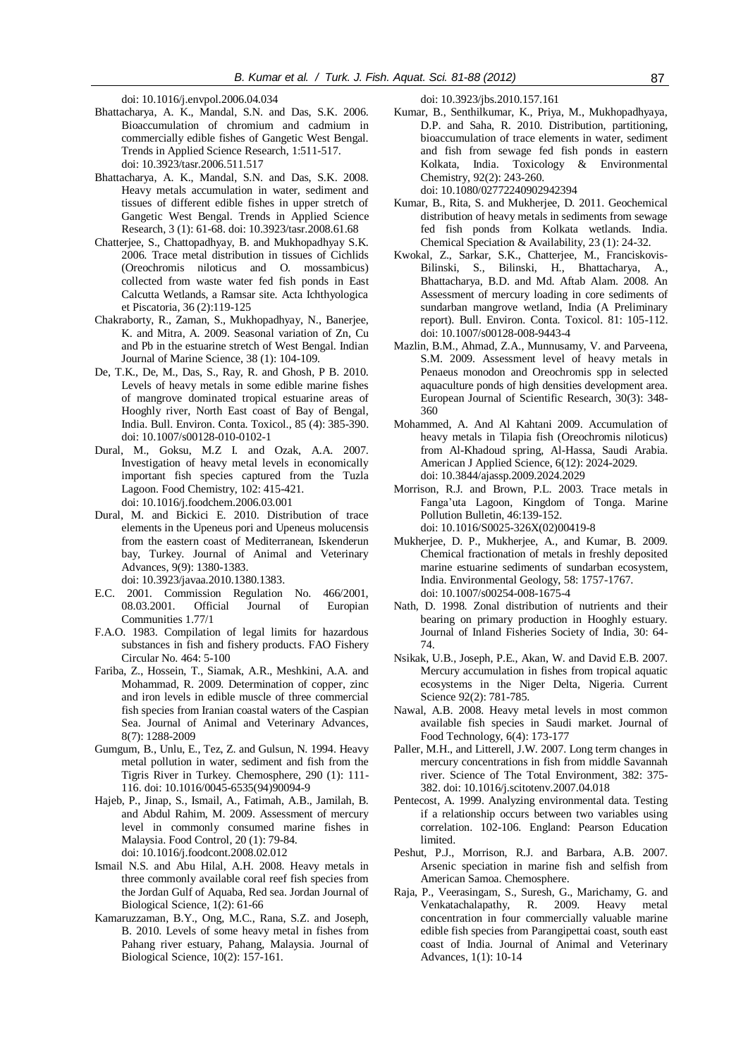doi: 10.1016/j.envpol.2006.04.034

- Bhattacharya, A. K., Mandal, S.N. and Das, S.K. 2006. Bioaccumulation of chromium and cadmium in commercially edible fishes of Gangetic West Bengal. Trends in Applied Science Research, 1:511-517. doi: 10.3923/tasr.2006.511.517
- Bhattacharya, A. K., Mandal, S.N. and Das, S.K. 2008. Heavy metals accumulation in water, sediment and tissues of different edible fishes in upper stretch of Gangetic West Bengal. Trends in Applied Science Research, 3 (1): 61-68. doi: 10.3923/tasr.2008.61.68
- Chatterjee, S., Chattopadhyay, B. and Mukhopadhyay S.K. 2006. Trace metal distribution in tissues of Cichlids (Oreochromis niloticus and O. mossambicus) collected from waste water fed fish ponds in East Calcutta Wetlands, a Ramsar site. Acta Ichthyologica et Piscatoria, 36 (2):119-125
- Chakraborty, R., Zaman, S., Mukhopadhyay, N., Banerjee, K. and Mitra, A. 2009. Seasonal variation of Zn, Cu and Pb in the estuarine stretch of West Bengal. Indian Journal of Marine Science, 38 (1): 104-109.
- De, T.K., De, M., Das, S., Ray, R. and Ghosh, P B. 2010. Levels of heavy metals in some edible marine fishes of mangrove dominated tropical estuarine areas of Hooghly river, North East coast of Bay of Bengal, India. Bull. Environ. Conta. Toxicol., 85 (4): 385-390. doi: 10.1007/s00128-010-0102-1
- Dural, M., Goksu, M.Z I. and Ozak, A.A. 2007. Investigation of heavy metal levels in economically important fish species captured from the Tuzla Lagoon. Food Chemistry, 102: 415-421. doi: 10.1016/j.foodchem.2006.03.001
- Dural, M. and Bickici E. 2010. Distribution of trace elements in the Upeneus pori and Upeneus molucensis from the eastern coast of Mediterranean, Iskenderun bay, Turkey. Journal of Animal and Veterinary Advances, 9(9): 1380-1383.
- doi: 10.3923/javaa.2010.1380.1383. E.C. 2001. Commission Regulation No. 466/2001,
- 08.03.2001. Official Journal of Europian Communities 1.77/1
- F.A.O. 1983. Compilation of legal limits for hazardous substances in fish and fishery products. FAO Fishery Circular No. 464: 5-100
- Fariba, Z., Hossein, T., Siamak, A.R., Meshkini, A.A. and Mohammad, R. 2009. Determination of copper, zinc and iron levels in edible muscle of three commercial fish species from Iranian coastal waters of the Caspian Sea. Journal of Animal and Veterinary Advances, 8(7): 1288-2009
- Gumgum, B., Unlu, E., Tez, Z. and Gulsun, N. 1994. Heavy metal pollution in water, sediment and fish from the Tigris River in Turkey. Chemosphere, 290 (1): 111- 116. doi: 10.1016/0045-6535(94)90094-9
- Hajeb, P., Jinap, S., Ismail, A., Fatimah, A.B., Jamilah, B. and Abdul Rahim, M. 2009. Assessment of mercury level in commonly consumed marine fishes in Malaysia. Food Control, 20 (1): 79-84. doi: 10.1016/j.foodcont.2008.02.012
- Ismail N.S. and Abu Hilal, A.H. 2008. Heavy metals in three commonly available coral reef fish species from the Jordan Gulf of Aquaba, Red sea. Jordan Journal of Biological Science, 1(2): 61-66
- Kamaruzzaman, B.Y., Ong, M.C., Rana, S.Z. and Joseph, B. 2010. Levels of some heavy metal in fishes from Pahang river estuary, Pahang, Malaysia. Journal of Biological Science, 10(2): 157-161.

doi: 10.3923/jbs.2010.157.161

- Kumar, B., Senthilkumar, K., Priya, M., Mukhopadhyaya, D.P. and Saha, R. 2010. Distribution, partitioning, bioaccumulation of trace elements in water, sediment and fish from sewage fed fish ponds in eastern Kolkata, India. Toxicology & Environmental Chemistry, 92(2): 243-260. doi: 10.1080/02772240902942394
- Kumar, B., Rita, S. and Mukherjee, D. 2011. Geochemical distribution of heavy metals in sediments from sewage fed fish ponds from Kolkata wetlands. India. Chemical Speciation & Availability, 23 (1): 24-32.
- Kwokal, Z., Sarkar, S.K., Chatterjee, M., Franciskovis-Bilinski, S., Bilinski, H., Bhattacharya, A., Bhattacharya, B.D. and Md. Aftab Alam. 2008. An Assessment of mercury loading in core sediments of sundarban mangrove wetland, India (A Preliminary report). Bull. Environ. Conta. Toxicol. 81: 105-112. doi: 10.1007/s00128-008-9443-4
- Mazlin, B.M., Ahmad, Z.A., Munnusamy, V. and Parveena, S.M. 2009. Assessment level of heavy metals in Penaeus monodon and Oreochromis spp in selected aquaculture ponds of high densities development area. European Journal of Scientific Research, 30(3): 348- 360
- Mohammed, A. And Al Kahtani 2009. Accumulation of heavy metals in Tilapia fish (Oreochromis niloticus) from Al-Khadoud spring, Al-Hassa, Saudi Arabia. American J Applied Science, 6(12): 2024-2029. doi: 10.3844/ajassp.2009.2024.2029
- Morrison, R.J. and Brown, P.L. 2003. Trace metals in Fanga'uta Lagoon, Kingdom of Tonga. Marine Pollution Bulletin, 46:139-152. doi: 10.1016/S0025-326X(02)00419-8
- Mukherjee, D. P., Mukherjee, A., and Kumar, B. 2009. Chemical fractionation of metals in freshly deposited marine estuarine sediments of sundarban ecosystem, India. Environmental Geology, 58: 1757-1767. doi: 10.1007/s00254-008-1675-4
- Nath, D. 1998. Zonal distribution of nutrients and their bearing on primary production in Hooghly estuary. Journal of Inland Fisheries Society of India, 30: 64- 74.
- Nsikak, U.B., Joseph, P.E., Akan, W. and David E.B. 2007. Mercury accumulation in fishes from tropical aquatic ecosystems in the Niger Delta, Nigeria. Current Science 92(2): 781-785.
- Nawal, A.B. 2008. Heavy metal levels in most common available fish species in Saudi market. Journal of Food Technology, 6(4): 173-177
- Paller, M.H., and Litterell, J.W. 2007. Long term changes in mercury concentrations in fish from middle Savannah river. Science of The Total Environment, 382: 375- 382. doi: 10.1016/j.scitotenv.2007.04.018
- Pentecost, A. 1999. Analyzing environmental data. Testing if a relationship occurs between two variables using correlation. 102-106. England: Pearson Education limited.
- Peshut, P.J., Morrison, R.J. and Barbara, A.B. 2007. Arsenic speciation in marine fish and selfish from American Samoa. Chemosphere.
- Raja, P., Veerasingam, S., Suresh, G., Marichamy, G. and Venkatachalapathy, R. 2009. Heavy metal concentration in four commercially valuable marine edible fish species from Parangipettai coast, south east coast of India. Journal of Animal and Veterinary Advances, 1(1): 10-14